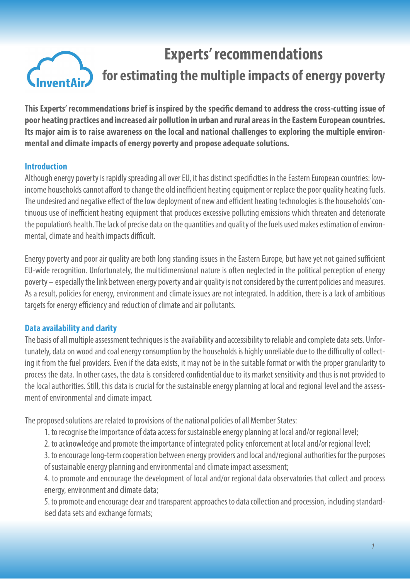# **Experts' recommendations for estimating the multiple impacts of energy poverty**

**This Experts' recommendations brief is inspired by the specific demand to address the cross-cutting issue of poor heating practices and increased air pollution in urban and rural areas in the Eastern European countries. Its major aim is to raise awareness on the local and national challenges to exploring the multiple environmental and climate impacts of energy poverty and propose adequate solutions.**

### **Introduction**

Although energy poverty is rapidly spreading all over EU, it has distinct specificities in the Eastern European countries: lowincome households cannot afford to change the old inefficient heating equipment or replace the poor quality heating fuels. The undesired and negative effect of the low deployment of new and efficient heating technologies is the households' continuous use of inefficient heating equipment that produces excessive polluting emissions which threaten and deteriorate the population's health. The lack of precise data on the quantities and quality of the fuels used makes estimation of environmental, climate and health impacts difficult.

Energy poverty and poor air quality are both long standing issues in the Eastern Europe, but have yet not gained sufficient EU-wide recognition. Unfortunately, the multidimensional nature is often neglected in the political perception of energy poverty – especially the link between energy poverty and air quality is not considered by the current policies and measures. As a result, policies for energy, environment and climate issues are not integrated. In addition, there is a lack of ambitious targets for energy efficiency and reduction of climate and air pollutants.

#### **Data availability and clarity**

The basis of all multiple assessment techniques is the availability and accessibility to reliable and complete data sets. Unfortunately, data on wood and coal energy consumption by the households is highly unreliable due to the difficulty of collecting it from the fuel providers. Even if the data exists, it may not be in the suitable format or with the proper granularity to process the data. In other cases, the data is considered confidential due to its market sensitivity and thus is not provided to the local authorities. Still, this data is crucial for the sustainable energy planning at local and regional level and the assessment of environmental and climate impact.

The proposed solutions are related to provisions of the national policies of all Member States:

- 1. to recognise the importance of data access for sustainable energy planning at local and/or regional level;
- 2. to acknowledge and promote the importance of integrated policy enforcement at local and/or regional level;
- 3. to encourage long-term cooperation between energy providers and local and/regional authorities for the purposes of sustainable energy planning and environmental and climate impact assessment;
- 4. to promote and encourage the development of local and/or regional data observatories that collect and process energy, environment and climate data;

5. to promote and encourage clear and transparent approaches to data collection and procession, including standardised data sets and exchange formats;